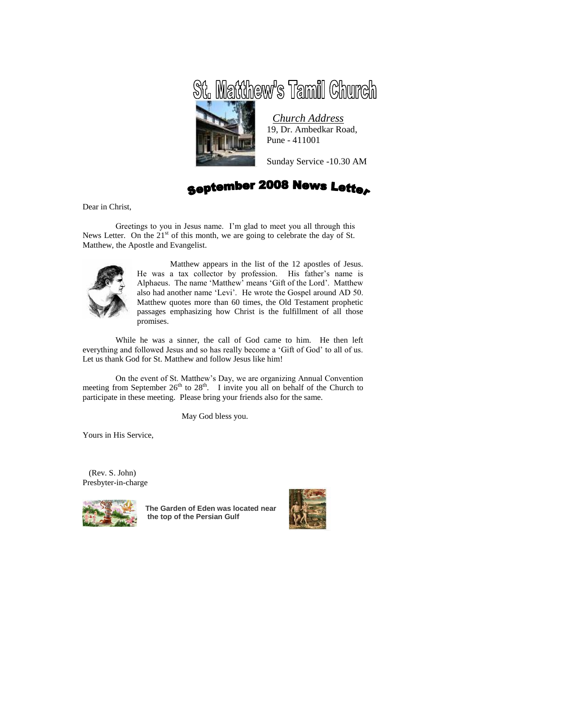



*Church Address* 19, Dr. Ambedkar Road, Pune - 411001

Sunday Service -10.30 AM

**September 2008 News Letter** 

Dear in Christ,

Greetings to you in Jesus name. I'm glad to meet you all through this News Letter. On the  $21<sup>st</sup>$  of this month, we are going to celebrate the day of St. Matthew, the Apostle and Evangelist.



Matthew appears in the list of the 12 apostles of Jesus. He was a tax collector by profession. His father's name is Alphaeus. The name 'Matthew' means 'Gift of the Lord'. Matthew also had another name 'Levi'. He wrote the Gospel around AD 50. Matthew quotes more than 60 times, the Old Testament prophetic passages emphasizing how Christ is the fulfillment of all those promises.

While he was a sinner, the call of God came to him. He then left everything and followed Jesus and so has really become a 'Gift of God' to all of us. Let us thank God for St. Matthew and follow Jesus like him!

On the event of St. Matthew's Day, we are organizing Annual Convention meeting from September  $26<sup>th</sup>$  to  $28<sup>th</sup>$ . I invite you all on behalf of the Church to participate in these meeting. Please bring your friends also for the same.

May God bless you.

Yours in His Service,

 (Rev. S. John) Presbyter-in-charge



**The Garden of Eden was located near the top of the Persian Gulf**

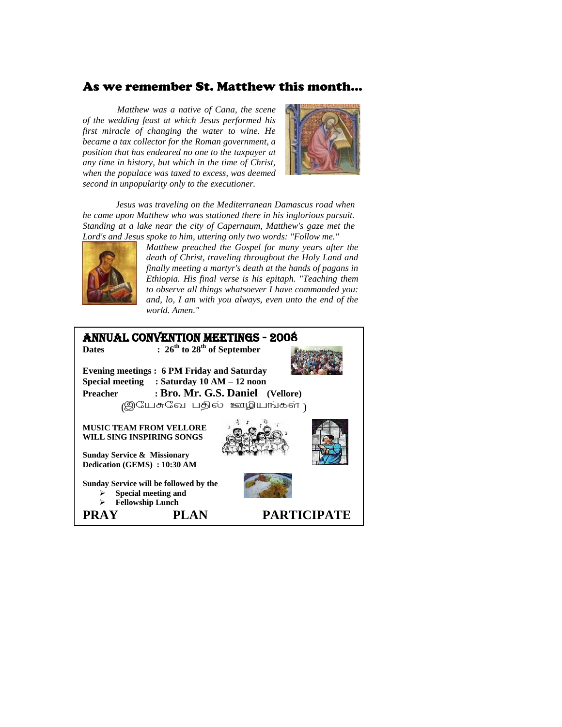# As we remember St. Matthew this month…

 *Matthew was a native of Cana, the scene of the wedding feast at which Jesus performed his first miracle of changing the water to wine. He became a tax collector for the Roman government, a position that has endeared no one to the taxpayer at any time in history, but which in the time of Christ, when the populace was taxed to excess, was deemed second in unpopularity only to the executioner.* 



*Jesus was traveling on the Mediterranean Damascus road when he came upon Matthew who was stationed there in his inglorious pursuit. Standing at a lake near the city of Capernaum, Matthew's gaze met the Lord's and Jesus spoke to him, uttering only two words: "Follow me."*



*Matthew preached the Gospel for many years after the death of Christ, traveling throughout the Holy Land and finally meeting a martyr's death at the hands of pagans in Ethiopia. His final verse is his epitaph. "Teaching them to observe all things whatsoever I have commanded you: and, lo, I am with you always, even unto the end of the world. Amen."*

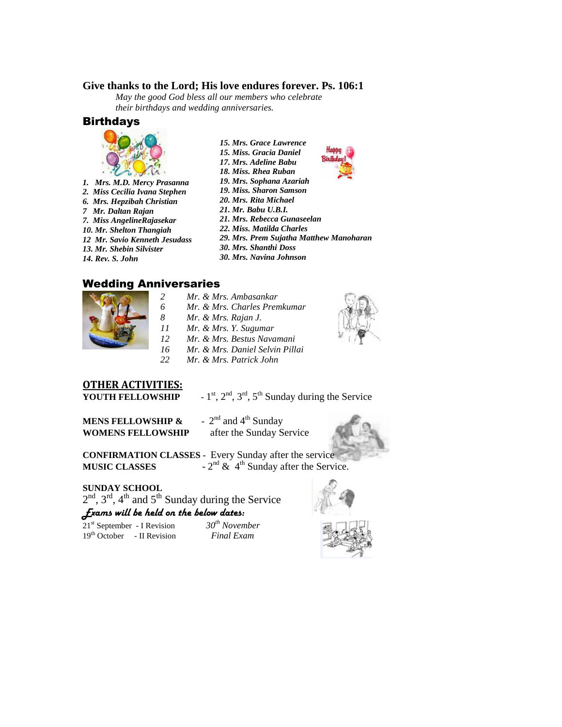## **Give thanks to the Lord; His love endures forever. Ps. 106:1**

*May the good God bless all our members who celebrate their birthdays and wedding anniversaries.*

### **Birthdays**



- *1. Mrs. M.D. Mercy Prasanna*
- *2. Miss Cecilia Ivana Stephen 6. Mrs. Hepzibah Christian*
- *7 Mr. Daltan Rajan*
- *7. Miss AngelineRajasekar*
- *10. Mr. Shelton Thangiah*
- *12 Mr. Savio Kenneth Jesudass*
- *13. Mr. Shebin Silvister*
- *14. Rev. S. John*
- *15. Mrs. Grace Lawrence 15. Miss. Gracia Daniel*
- *17. Mrs. Adeline Babu*
- *18. Miss. Rhea Ruban*
- *19. Mrs. Sophana Azariah*
- *19. Miss. Sharon Samson*
- *20. Mrs. Rita Michael*
- *21. Mr. Babu U.B.I.*
- *21. Mrs. Rebecca Gunaseelan 22. Miss. Matilda Charles*
- *29. Mrs. Prem Sujatha Matthew Manoharan*
- *30. Mrs. Shanthi Doss*
- *30. Mrs. Navina Johnson*

## Wedding Anniversaries



- *Mr. & Mrs. Ambasankar*
- *Mr. & Mrs. Charles Premkumar*
- *Mr. & Mrs. Rajan J.*
- *Mr. & Mrs. Y. Sugumar*
- *Mr. & Mrs. Bestus Navamani*
- *Mr. & Mrs. Daniel Selvin Pillai*
- *Mr. & Mrs. Patrick John*

# **OTHER ACTIVITIES:**

YOUTH FELLOWSHIP

 $s_1$ <sup>st</sup>,  $2^{nd}$ ,  $3^{rd}$ ,  $5^{th}$  Sunday during the Service

**MENS FELLOWSHIP & WOMENS FELLOWSHIP** after the Sunday Service

-  $2<sup>nd</sup>$  and  $4<sup>th</sup>$  Sunday



**CONFIRMATION CLASSES -** Every Sunday after the service **MUSIC CLASSES**  $-2^{nd}$  & 4<sup>th</sup> Sunday after the Service.

### **SUNDAY SCHOOL**

 $2<sup>nd</sup>$ ,  $3<sup>rd</sup>$ ,  $4<sup>th</sup>$  and  $5<sup>th</sup>$  Sunday during the Service *Exams will be held on the below dates:*

21st September - I Revision *30th November* 19th October - II Revision *Final Exam*